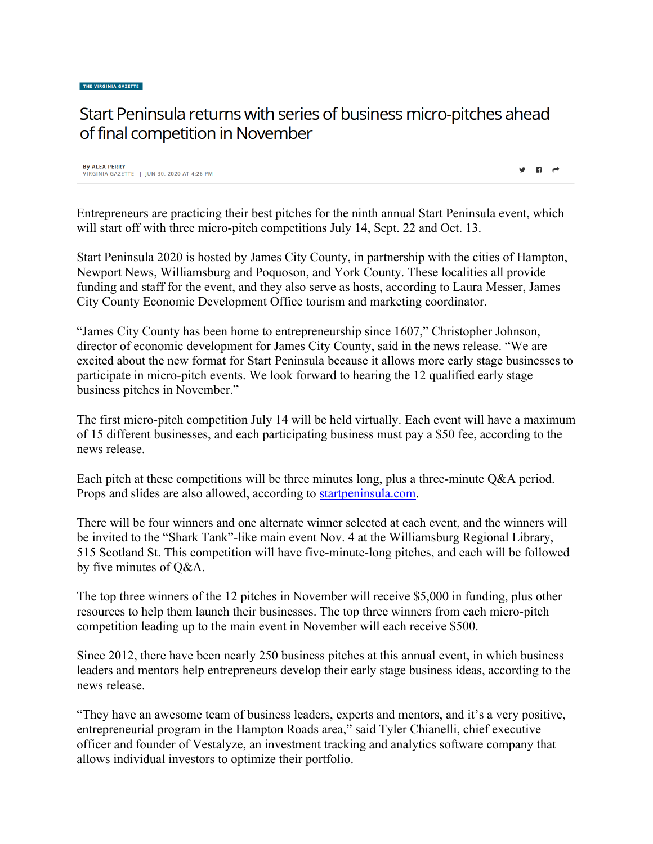## Start Peninsula returns with series of business micro-pitches ahead of final competition in November

**By ALEX PERRY** VIRGINIA GAZETTE | IUN 30, 2020 AT 4:26 PM

Entrepreneurs are practicing their best pitches for the ninth annual Start Peninsula event, which will start off with three micro-pitch competitions July 14, Sept. 22 and Oct. 13.

 $\mathbf{y}$  in  $\mathbf{r}$ 

Start Peninsula 2020 is hosted by James City County, in partnership with the cities of Hampton, Newport News, Williamsburg and Poquoson, and York County. These localities all provide funding and staff for the event, and they also serve as hosts, according to Laura Messer, James City County Economic Development Office tourism and marketing coordinator.

"James City County has been home to entrepreneurship since 1607," Christopher Johnson, director of economic development for James City County, said in the news release. "We are excited about the new format for Start Peninsula because it allows more early stage businesses to participate in micro-pitch events. We look forward to hearing the 12 qualified early stage business pitches in November."

The first micro-pitch competition July 14 will be held virtually. Each event will have a maximum of 15 different businesses, and each participating business must pay a \$50 fee, according to the news release.

Each pitch at these competitions will be three minutes long, plus a three-minute Q&A period. Props and slides are also allowed, according to [startpeninsula.com.](http://startpeninsula.com/)

There will be four winners and one alternate winner selected at each event, and the winners will be invited to the "Shark Tank"-like main event Nov. 4 at the Williamsburg Regional Library, 515 Scotland St. This competition will have five-minute-long pitches, and each will be followed by five minutes of Q&A.

The top three winners of the 12 pitches in November will receive \$5,000 in funding, plus other resources to help them launch their businesses. The top three winners from each micro-pitch competition leading up to the main event in November will each receive \$500.

Since 2012, there have been nearly 250 business pitches at this annual event, in which business leaders and mentors help entrepreneurs develop their early stage business ideas, according to the news release.

"They have an awesome team of business leaders, experts and mentors, and it's a very positive, entrepreneurial program in the Hampton Roads area," said Tyler Chianelli, chief executive officer and founder of Vestalyze, an investment tracking and analytics software company that allows individual investors to optimize their portfolio.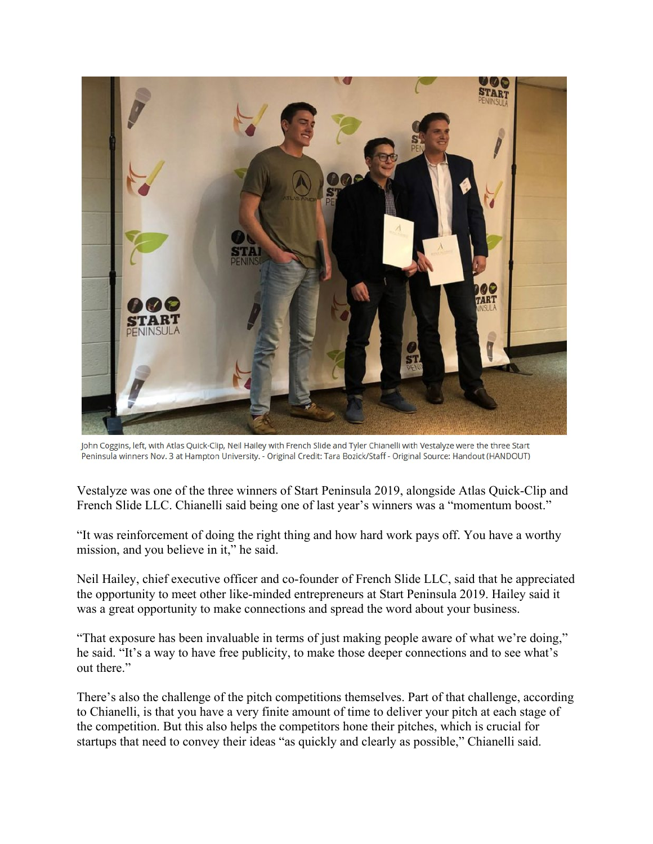

John Coggins, left, with Atlas Quick-Clip, Neil Hailey with French Slide and Tyler Chianelli with Vestalyze were the three Start Peninsula winners Nov. 3 at Hampton University. - Original Credit: Tara Bozick/Staff - Original Source: Handout (HANDOUT)

Vestalyze was one of the three winners of Start Peninsula 2019, alongside Atlas Quick-Clip and French Slide LLC. Chianelli said being one of last year's winners was a "momentum boost."

"It was reinforcement of doing the right thing and how hard work pays off. You have a worthy mission, and you believe in it," he said.

Neil Hailey, chief executive officer and co-founder of French Slide LLC, said that he appreciated the opportunity to meet other like-minded entrepreneurs at Start Peninsula 2019. Hailey said it was a great opportunity to make connections and spread the word about your business.

"That exposure has been invaluable in terms of just making people aware of what we're doing," he said. "It's a way to have free publicity, to make those deeper connections and to see what's out there."

There's also the challenge of the pitch competitions themselves. Part of that challenge, according to Chianelli, is that you have a very finite amount of time to deliver your pitch at each stage of the competition. But this also helps the competitors hone their pitches, which is crucial for startups that need to convey their ideas "as quickly and clearly as possible," Chianelli said.